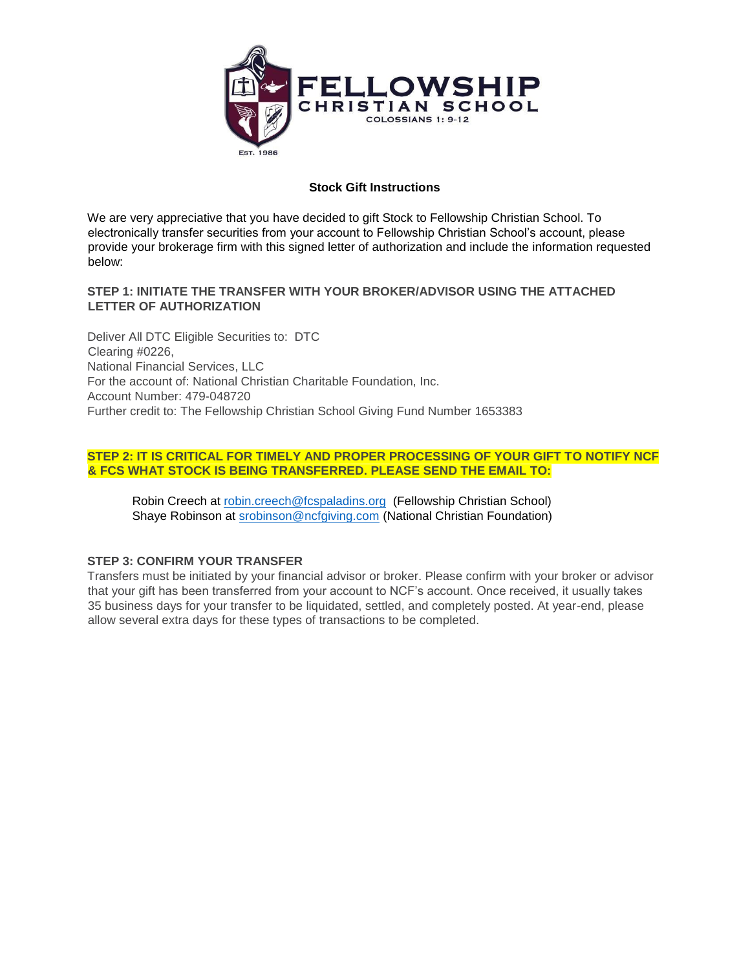

# **Stock Gift Instructions**

We are very appreciative that you have decided to gift Stock to Fellowship Christian School. To electronically transfer securities from your account to Fellowship Christian School's account, please provide your brokerage firm with this signed letter of authorization and include the information requested below:

# **STEP 1: INITIATE THE TRANSFER WITH YOUR BROKER/ADVISOR USING THE ATTACHED LETTER OF AUTHORIZATION**

Deliver All DTC Eligible Securities to: DTC Clearing #0226, National Financial Services, LLC For the account of: National Christian Charitable Foundation, Inc. Account Number: 479-048720 Further credit to: The Fellowship Christian School Giving Fund Number 1653383

# **STEP 2: IT IS CRITICAL FOR TIMELY AND PROPER PROCESSING OF YOUR GIFT TO NOTIFY NCF & FCS WHAT STOCK IS BEING TRANSFERRED. PLEASE SEND THE EMAIL TO:**

Robin Creech at [robin.creech@fcspaladins.org](mailto:robin.creech@fcspaladins.org) (Fellowship Christian School) Shaye Robinson at [srobinson@ncfgiving.com](mailto:srobinson@ncfgiving.com) (National Christian Foundation)

### **STEP 3: CONFIRM YOUR TRANSFER**

Transfers must be initiated by your financial advisor or broker. Please confirm with your broker or advisor that your gift has been transferred from your account to NCF's account. Once received, it usually takes 35 business days for your transfer to be liquidated, settled, and completely posted. At year-end, please allow several extra days for these types of transactions to be completed.